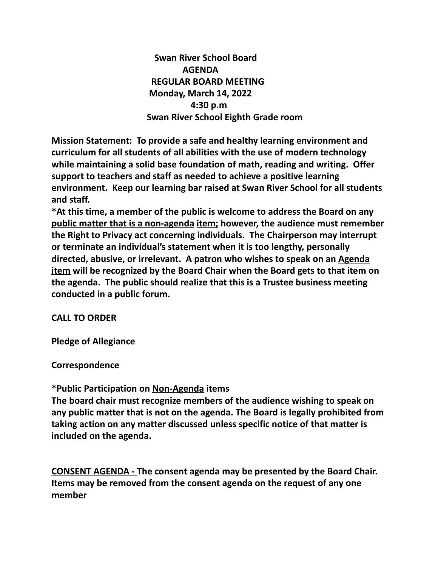**Swan River School Board AGENDA REGULAR BOARD MEETING Monday, March 14, 2022 4:30 p.m Swan River School Eighth Grade room**

**Mission Statement: To provide a safe and healthy learning environment and curriculum for all students of all abilities with the use of modern technology while maintaining a solid base foundation of math, reading and writing. Offer support to teachers and staff as needed to achieve a positive learning environment. Keep our learning bar raised at Swan River School for all students and staff.**

**\*At this time, a member of the public is welcome to address the Board on any public matter that is a non-agenda item; however, the audience must remember the Right to Privacy act concerning individuals. The Chairperson may interrupt or terminate an individual's statement when it is too lengthy, personally directed, abusive, or irrelevant. A patron who wishes to speak on an Agenda item will be recognized by the Board Chair when the Board gets to that item on the agenda. The public should realize that this is a Trustee business meeting conducted in a public forum.**

## **CALL TO ORDER**

**Pledge of Allegiance**

**Correspondence**

#### **\*Public Participation on Non-Agenda items**

**The board chair must recognize members of the audience wishing to speak on any public matter that is not on the agenda. The Board is legally prohibited from taking action on any matter discussed unless specific notice of that matter is included on the agenda.**

**CONSENT AGENDA - The consent agenda may be presented by the Board Chair. Items may be removed from the consent agenda on the request of any one member**